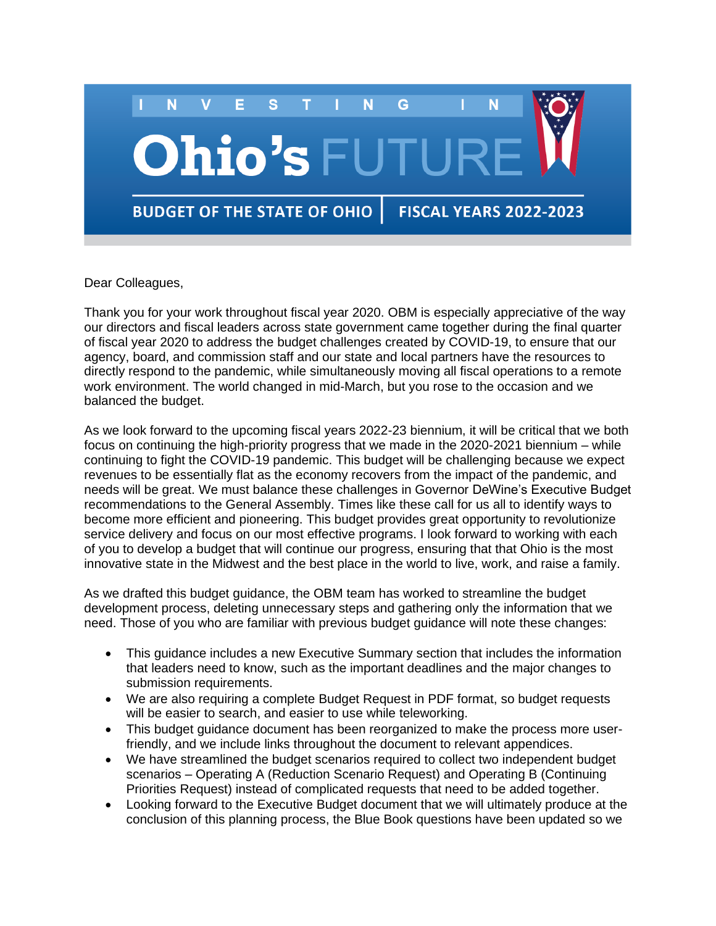

Dear Colleagues,

Thank you for your work throughout fiscal year 2020. OBM is especially appreciative of the way our directors and fiscal leaders across state government came together during the final quarter of fiscal year 2020 to address the budget challenges created by COVID-19, to ensure that our agency, board, and commission staff and our state and local partners have the resources to directly respond to the pandemic, while simultaneously moving all fiscal operations to a remote work environment. The world changed in mid-March, but you rose to the occasion and we balanced the budget.

As we look forward to the upcoming fiscal years 2022-23 biennium, it will be critical that we both focus on continuing the high-priority progress that we made in the 2020-2021 biennium – while continuing to fight the COVID-19 pandemic. This budget will be challenging because we expect revenues to be essentially flat as the economy recovers from the impact of the pandemic, and needs will be great. We must balance these challenges in Governor DeWine's Executive Budget recommendations to the General Assembly. Times like these call for us all to identify ways to become more efficient and pioneering. This budget provides great opportunity to revolutionize service delivery and focus on our most effective programs. I look forward to working with each of you to develop a budget that will continue our progress, ensuring that that Ohio is the most innovative state in the Midwest and the best place in the world to live, work, and raise a family.

As we drafted this budget guidance, the OBM team has worked to streamline the budget development process, deleting unnecessary steps and gathering only the information that we need. Those of you who are familiar with previous budget guidance will note these changes:

- This guidance includes a new Executive Summary section that includes the information that leaders need to know, such as the important deadlines and the major changes to submission requirements.
- We are also requiring a complete Budget Request in PDF format, so budget requests will be easier to search, and easier to use while teleworking.
- This budget guidance document has been reorganized to make the process more userfriendly, and we include links throughout the document to relevant appendices.
- We have streamlined the budget scenarios required to collect two independent budget scenarios – Operating A (Reduction Scenario Request) and Operating B (Continuing Priorities Request) instead of complicated requests that need to be added together.
- Looking forward to the Executive Budget document that we will ultimately produce at the conclusion of this planning process, the Blue Book questions have been updated so we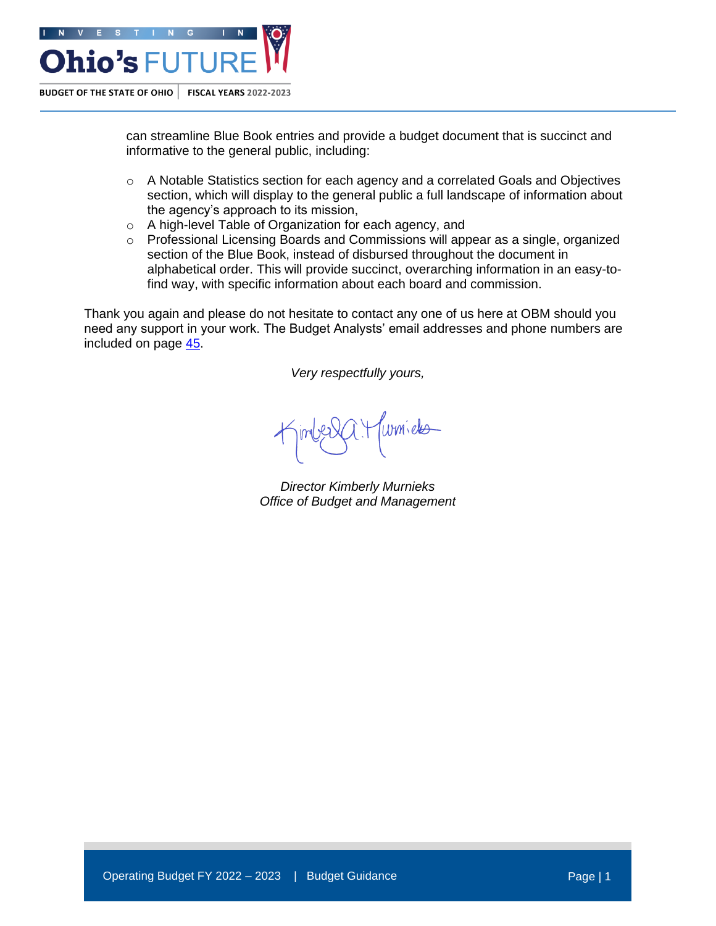can streamline Blue Book entries and provide a budget document that is succinct and informative to the general public, including:

- $\circ$  A Notable Statistics section for each agency and a correlated Goals and Objectives section, which will display to the general public a full landscape of information about the agency's approach to its mission,
- o A high-level Table of Organization for each agency, and
- $\circ$  Professional Licensing Boards and Commissions will appear as a single, organized section of the Blue Book, instead of disbursed throughout the document in alphabetical order. This will provide succinct, overarching information in an easy-tofind way, with specific information about each board and commission.

Thank you again and please do not hesitate to contact any one of us here at OBM should you need any support in your work. The Budget Analysts' email addresses and phone numbers are included on page [45.](#page-45-0)

*Very respectfully yours,* 

wmiels

*Director Kimberly Murnieks Office of Budget and Management*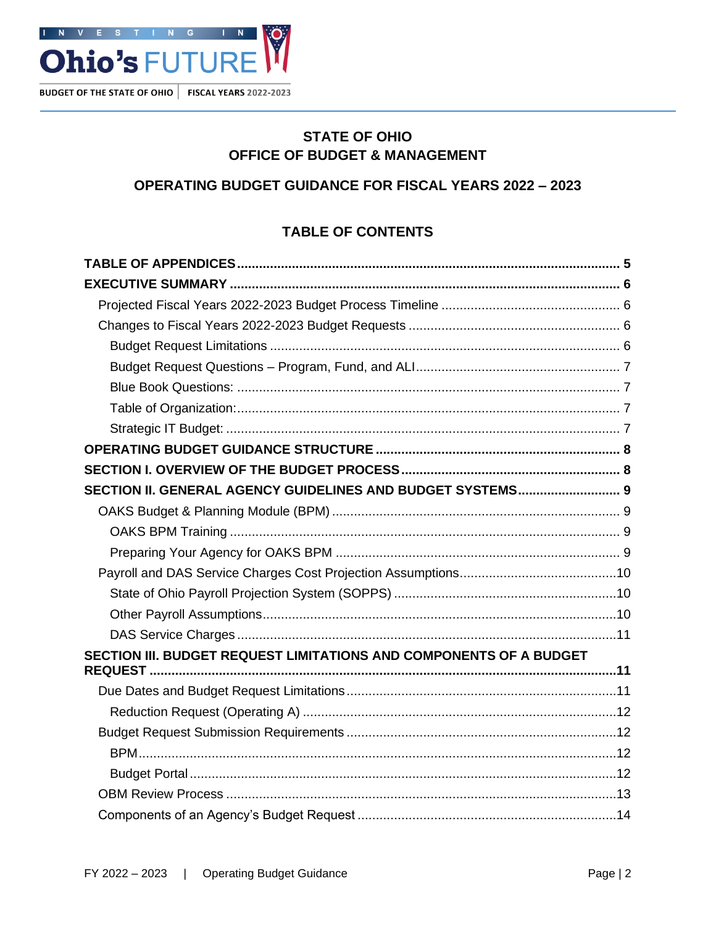

# **STATE OF OHIO OFFICE OF BUDGET & MANAGEMENT**

# **OPERATING BUDGET GUIDANCE FOR FISCAL YEARS 2022 - 2023**

# **TABLE OF CONTENTS**

| SECTION II. GENERAL AGENCY GUIDELINES AND BUDGET SYSTEMS 9         |
|--------------------------------------------------------------------|
|                                                                    |
|                                                                    |
|                                                                    |
|                                                                    |
|                                                                    |
|                                                                    |
|                                                                    |
| SECTION III. BUDGET REQUEST LIMITATIONS AND COMPONENTS OF A BUDGET |
|                                                                    |
|                                                                    |
|                                                                    |
|                                                                    |
|                                                                    |
|                                                                    |
|                                                                    |
|                                                                    |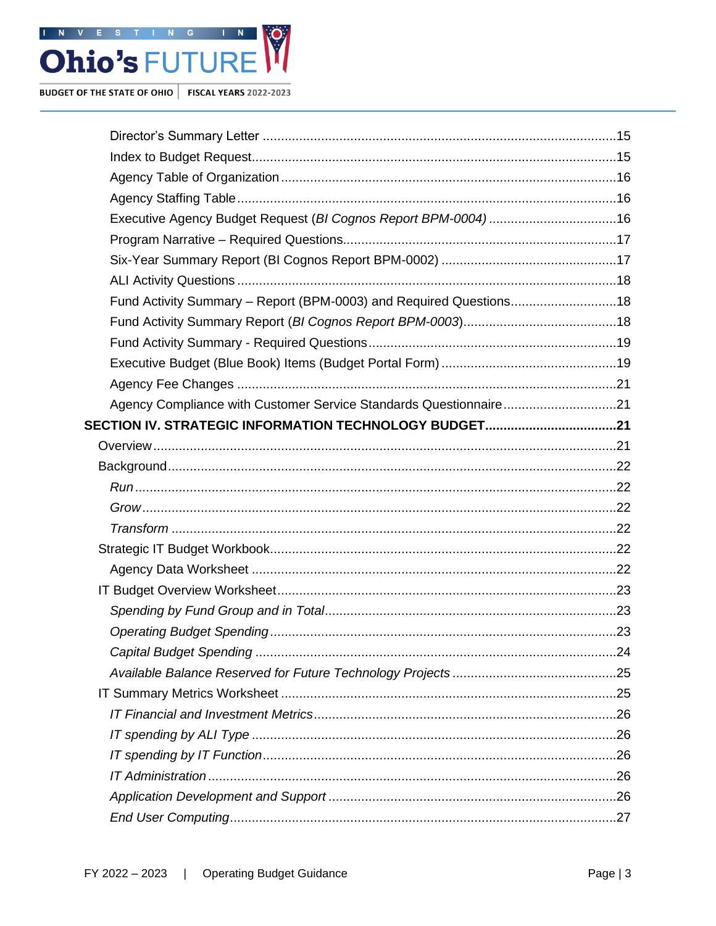BUDGET OF THE STATE OF OHIO | FISCAL YEARS 2022-2023

| Executive Agency Budget Request (BI Cognos Report BPM-0004)16      |     |
|--------------------------------------------------------------------|-----|
|                                                                    |     |
|                                                                    |     |
|                                                                    |     |
| Fund Activity Summary - Report (BPM-0003) and Required Questions18 |     |
|                                                                    |     |
|                                                                    |     |
|                                                                    |     |
|                                                                    |     |
| Agency Compliance with Customer Service Standards Questionnaire21  |     |
| SECTION IV. STRATEGIC INFORMATION TECHNOLOGY BUDGET21              |     |
|                                                                    |     |
|                                                                    |     |
|                                                                    |     |
|                                                                    |     |
|                                                                    |     |
|                                                                    |     |
|                                                                    |     |
|                                                                    |     |
|                                                                    |     |
|                                                                    |     |
| Capital Budget Spending                                            | .24 |
|                                                                    |     |
|                                                                    |     |
|                                                                    |     |
|                                                                    |     |
|                                                                    |     |
|                                                                    |     |
|                                                                    |     |
|                                                                    |     |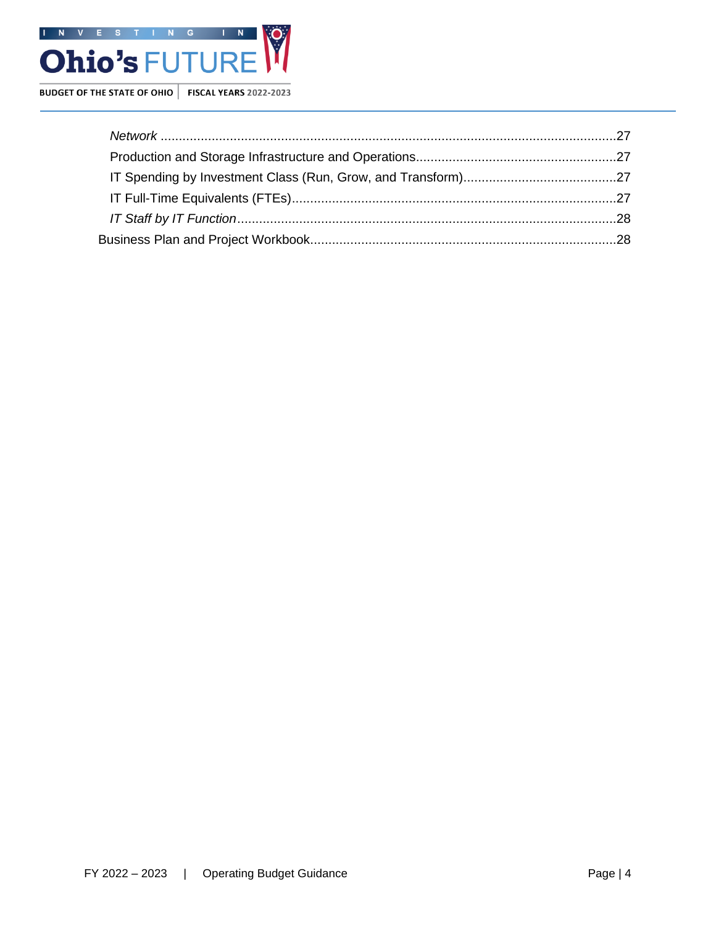

BUDGET OF THE STATE OF OHIO | FISCAL YEARS 2022-2023

<span id="page-4-0"></span>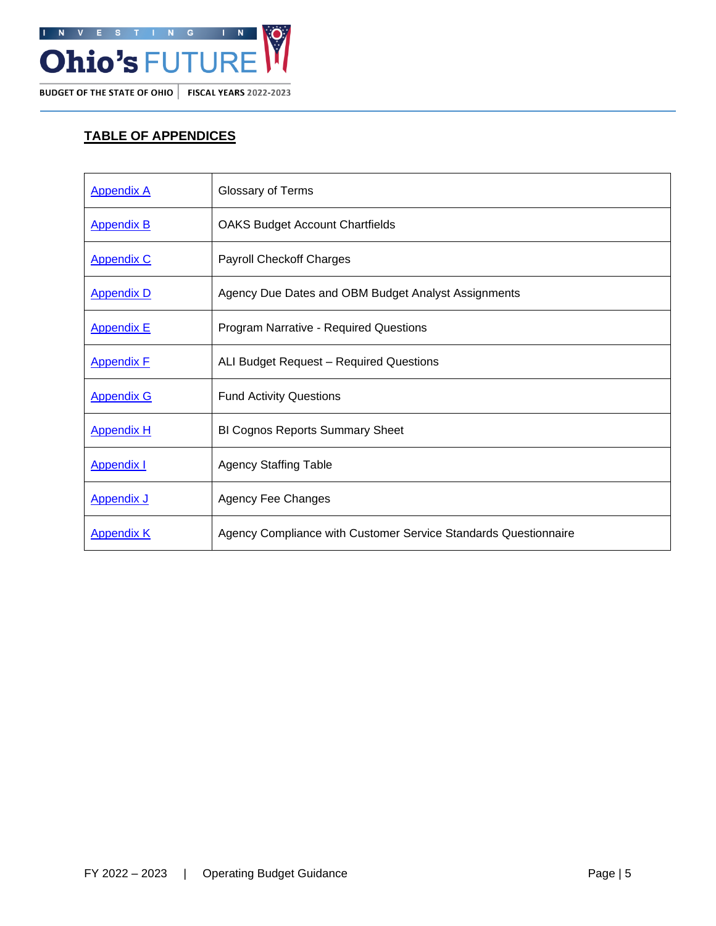# **TABLE OF APPENDICES**

<span id="page-5-0"></span>

| <b>Appendix A</b> | Glossary of Terms                                               |
|-------------------|-----------------------------------------------------------------|
| <b>Appendix B</b> | <b>OAKS Budget Account Chartfields</b>                          |
| <b>Appendix C</b> | <b>Payroll Checkoff Charges</b>                                 |
| <b>Appendix D</b> | Agency Due Dates and OBM Budget Analyst Assignments             |
| <b>Appendix E</b> | <b>Program Narrative - Required Questions</b>                   |
| <b>Appendix F</b> | ALI Budget Request - Required Questions                         |
| <b>Appendix G</b> | <b>Fund Activity Questions</b>                                  |
| <b>Appendix H</b> | <b>BI Cognos Reports Summary Sheet</b>                          |
| <b>Appendix I</b> | <b>Agency Staffing Table</b>                                    |
| Appendix J        | <b>Agency Fee Changes</b>                                       |
| <b>Appendix K</b> | Agency Compliance with Customer Service Standards Questionnaire |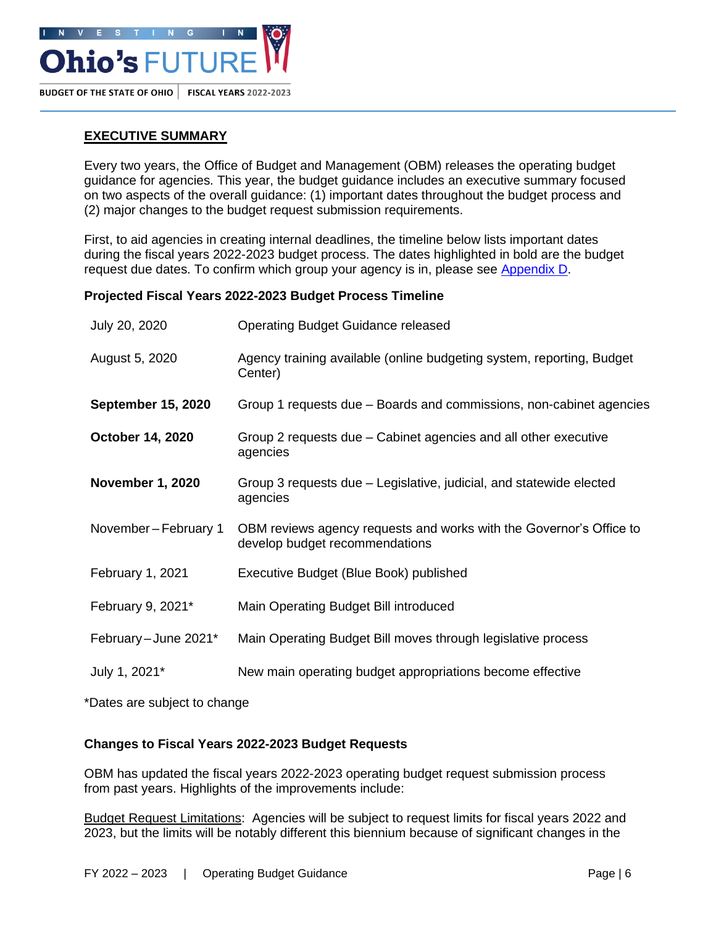### **EXECUTIVE SUMMARY**

Every two years, the Office of Budget and Management (OBM) releases the operating budget guidance for agencies. This year, the budget guidance includes an executive summary focused on two aspects of the overall guidance: (1) important dates throughout the budget process and (2) major changes to the budget request submission requirements.

First, to aid agencies in creating internal deadlines, the timeline below lists important dates during the fiscal years 2022-2023 budget process. The dates highlighted in bold are the budget request due dates. To confirm which group your agency is in, please see [Appendix D.](#page-42-0)

#### <span id="page-6-0"></span>**Projected Fiscal Years 2022-2023 Budget Process Timeline**

| July 20, 2020             | <b>Operating Budget Guidance released</b>                                                             |
|---------------------------|-------------------------------------------------------------------------------------------------------|
| August 5, 2020            | Agency training available (online budgeting system, reporting, Budget<br>Center)                      |
| <b>September 15, 2020</b> | Group 1 requests due – Boards and commissions, non-cabinet agencies                                   |
| <b>October 14, 2020</b>   | Group 2 requests due – Cabinet agencies and all other executive<br>agencies                           |
| <b>November 1, 2020</b>   | Group 3 requests due – Legislative, judicial, and statewide elected<br>agencies                       |
| November-February 1       | OBM reviews agency requests and works with the Governor's Office to<br>develop budget recommendations |
| February 1, 2021          | Executive Budget (Blue Book) published                                                                |
| February 9, 2021*         | Main Operating Budget Bill introduced                                                                 |
| February-June 2021*       | Main Operating Budget Bill moves through legislative process                                          |
| July 1, 2021*             | New main operating budget appropriations become effective                                             |

\*Dates are subject to change

#### <span id="page-6-1"></span>**Changes to Fiscal Years 2022-2023 Budget Requests**

OBM has updated the fiscal years 2022-2023 operating budget request submission process from past years. Highlights of the improvements include:

<span id="page-6-2"></span>Budget Request Limitations: Agencies will be subject to request limits for fiscal years 2022 and 2023, but the limits will be notably different this biennium because of significant changes in the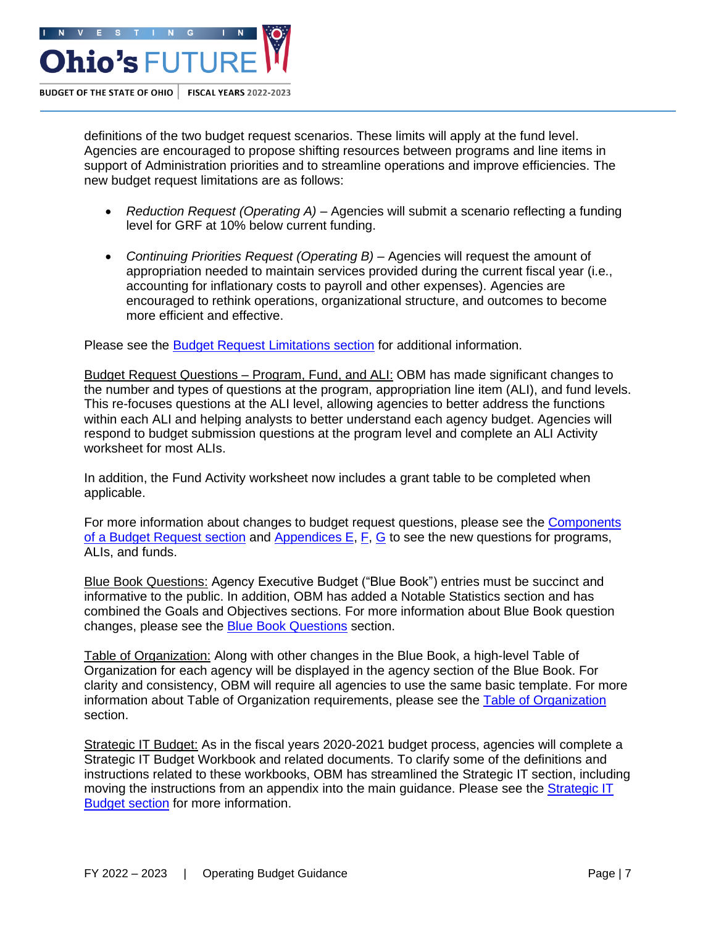definitions of the two budget request scenarios. These limits will apply at the fund level. Agencies are encouraged to propose shifting resources between programs and line items in support of Administration priorities and to streamline operations and improve efficiencies. The new budget request limitations are as follows:

- *Reduction Request (Operating A)* Agencies will submit a scenario reflecting a funding level for GRF at 10% below current funding.
- *Continuing Priorities Request (Operating B)* Agencies will request the amount of appropriation needed to maintain services provided during the current fiscal year (i.e., accounting for inflationary costs to payroll and other expenses). Agencies are encouraged to rethink operations, organizational structure, and outcomes to become more efficient and effective.

Please see the [Budget Request Limitations](#page-11-1) section for additional information.

<span id="page-7-0"></span>Budget Request Questions – Program, Fund, and ALI: OBM has made significant changes to the number and types of questions at the program, appropriation line item (ALI), and fund levels. This re-focuses questions at the ALI level, allowing agencies to better address the functions within each ALI and helping analysts to better understand each agency budget. Agencies will respond to budget submission questions at the program level and complete an ALI Activity worksheet for most ALIs.

In addition, the Fund Activity worksheet now includes a grant table to be completed when applicable.

For more information about changes to budget request questions, please see the [Components](#page-13-1)  [of a Budget Request](#page-13-1) section and [Appendices E,](#page-46-0) [F,](#page-47-0) [G](#page-49-0) to see the new questions for programs, ALIs, and funds.

<span id="page-7-1"></span>Blue Book Questions: Agency Executive Budget ("Blue Book") entries must be succinct and informative to the public. In addition, OBM has added a Notable Statistics section and has combined the Goals and Objectives sections. For more information about Blue Book question changes, please see the [Blue Book Questions](#page-19-1) section.

<span id="page-7-2"></span>Table of Organization: Along with other changes in the Blue Book, a high-level Table of Organization for each agency will be displayed in the agency section of the Blue Book. For clarity and consistency, OBM will require all agencies to use the same basic template. For more information about [Table of Organization](#page-16-0) requirements, please see the Table of Organization section.

<span id="page-7-3"></span>Strategic IT Budget: As in the fiscal years 2020-2021 budget process, agencies will complete a Strategic IT Budget Workbook and related documents. To clarify some of the definitions and instructions related to these workbooks, OBM has streamlined the Strategic IT section, including moving the instructions from an appendix into the main guidance. Please see the [Strategic IT](#page-21-2)  [Budget section](#page-21-2) for more information.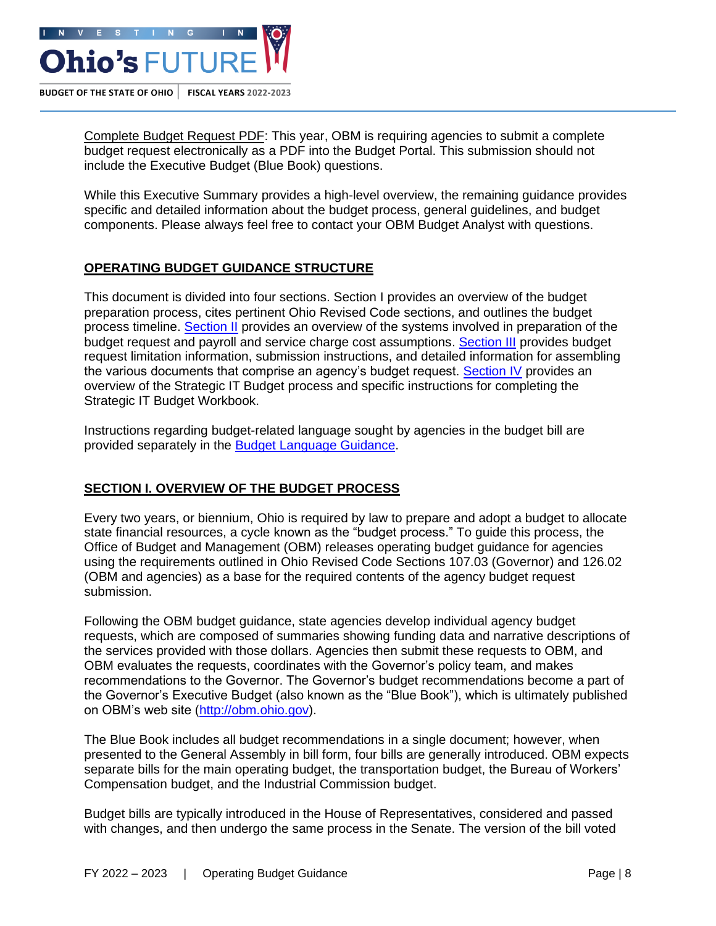

Complete Budget Request PDF: This year, OBM is requiring agencies to submit a complete budget request electronically as a PDF into the Budget Portal. This submission should not include the Executive Budget (Blue Book) questions.

While this Executive Summary provides a high-level overview, the remaining guidance provides specific and detailed information about the budget process, general guidelines, and budget components. Please always feel free to contact your OBM Budget Analyst with questions.

### <span id="page-8-0"></span>**OPERATING BUDGET GUIDANCE STRUCTURE**

This document is divided into four sections. Section I provides an overview of the budget preparation process, cites pertinent Ohio Revised Code sections, and outlines the budget process timeline. [Section II](#page-9-0) provides an overview of the systems involved in preparation of the budget request and payroll and service charge cost assumptions. [Section III](#page-11-1) provides budget request limitation information, submission instructions, and detailed information for assembling the various documents that comprise an agency's budget request. [Section IV](#page-21-2) provides an overview of the Strategic IT Budget process and specific instructions for completing the Strategic IT Budget Workbook.

<span id="page-8-1"></span>Instructions regarding budget-related language sought by agencies in the budget bill are provided separately in the [Budget Language Guidance.](Budget_Language_Guidance_FY-2022-23.pdf)

## **SECTION I. OVERVIEW OF THE BUDGET PROCESS**

Every two years, or biennium, Ohio is required by law to prepare and adopt a budget to allocate state financial resources, a cycle known as the "budget process." To guide this process, the Office of Budget and Management (OBM) releases operating budget guidance for agencies using the requirements outlined in Ohio Revised Code Sections 107.03 (Governor) and 126.02 (OBM and agencies) as a base for the required contents of the agency budget request submission.

Following the OBM budget guidance, state agencies develop individual agency budget requests, which are composed of summaries showing funding data and narrative descriptions of the services provided with those dollars. Agencies then submit these requests to OBM, and OBM evaluates the requests, coordinates with the Governor's policy team, and makes recommendations to the Governor. The Governor's budget recommendations become a part of the Governor's Executive Budget (also known as the "Blue Book"), which is ultimately published on OBM's web site [\(http://obm.ohio.gov\)](http://obm.ohio.gov/).

The Blue Book includes all budget recommendations in a single document; however, when presented to the General Assembly in bill form, four bills are generally introduced. OBM expects separate bills for the main operating budget, the transportation budget, the Bureau of Workers' Compensation budget, and the Industrial Commission budget.

Budget bills are typically introduced in the House of Representatives, considered and passed with changes, and then undergo the same process in the Senate. The version of the bill voted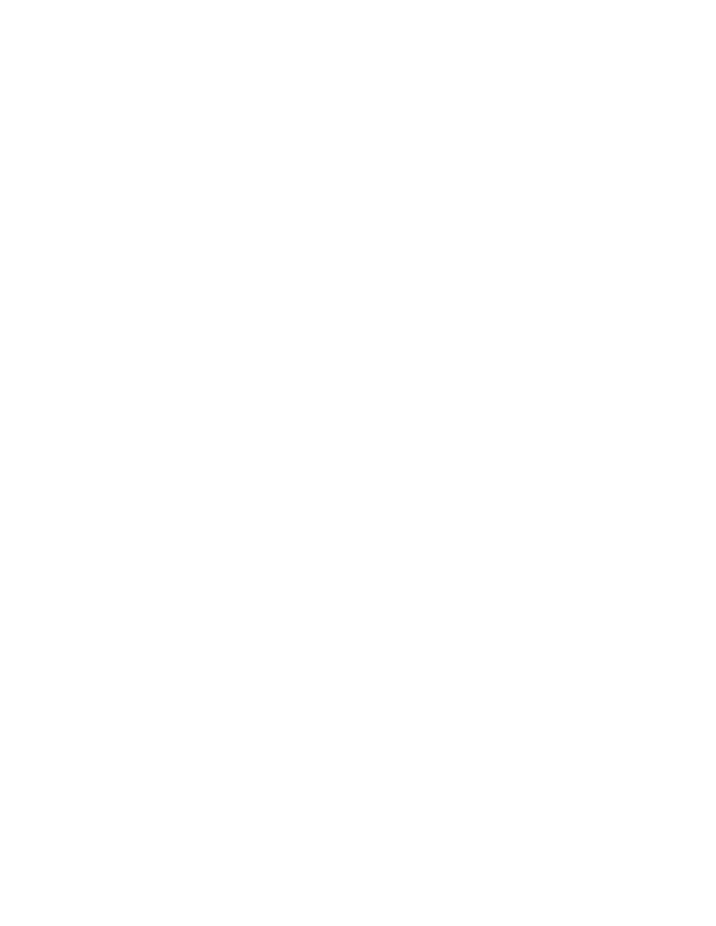### **EXECUTIVE SUMMARY**

Every two years, the Office of Budget and Management (OBM) releases the operating budget guidance for agencies. This year, the budget guidance includes an executive summary focused on two aspects of the overall quidance: (1) important dates throughout the budget process and (2) major changes to the budget request submission requirements.

First, to aid agencies in creating internal deadlines, the timeline below lists important dates during the fiscal years 2022-2023 budget process. The dates highlighted in bold are the budget request due dates. To confirm which group your agency is in, please see Appendix D.

Projected Fiscal Year s 2022-2023 Budget Process Timeline

| July 20, 2020         | <b>Operating Budget Guidance released</b>                                                         |
|-----------------------|---------------------------------------------------------------------------------------------------|
| August 5, 2020        | Agency training available (online budgeting system, reporting, Budget<br>Center)                  |
| September 15, 2020    | Group 1 requests due ±Boards and commissions, non-cabinet agencies                                |
| October 14, 2020      | Group 2 requests due $\pm$ Cabinet agencies and all other executive<br>agencies                   |
| November 1, 2020      | Group 3 requests due ±Legislative, judicial, and statewide elected<br>agencies                    |
| November ± February 1 | OBM reviews agency requests and works with the $*RYHUQRU\P V 2$<br>develop budget recommendations |
| February 1, 2021      | Executive Budget (Blue Book) published                                                            |
| February 9, 2021*     | Main Operating Budget Bill introduced                                                             |
| February ±June 2021*  | Main Operating Budget Bill moves through legislative process                                      |
| July 1, 2021*         | New main operating budget appropriations become effective                                         |
|                       |                                                                                                   |

\*Dates are subject to change

Changes to Fiscal Year s 2022-2023 Budget Requests

OBM has updated the fiscal years 2022-2023 operating budget request submission process from past years. Highlights of the improvements include:

Budget Request Limitations: Agencies will be subject to request limits for fiscal years 2022 and 2023, but the limits will be notably different this biennium because of significant changes in the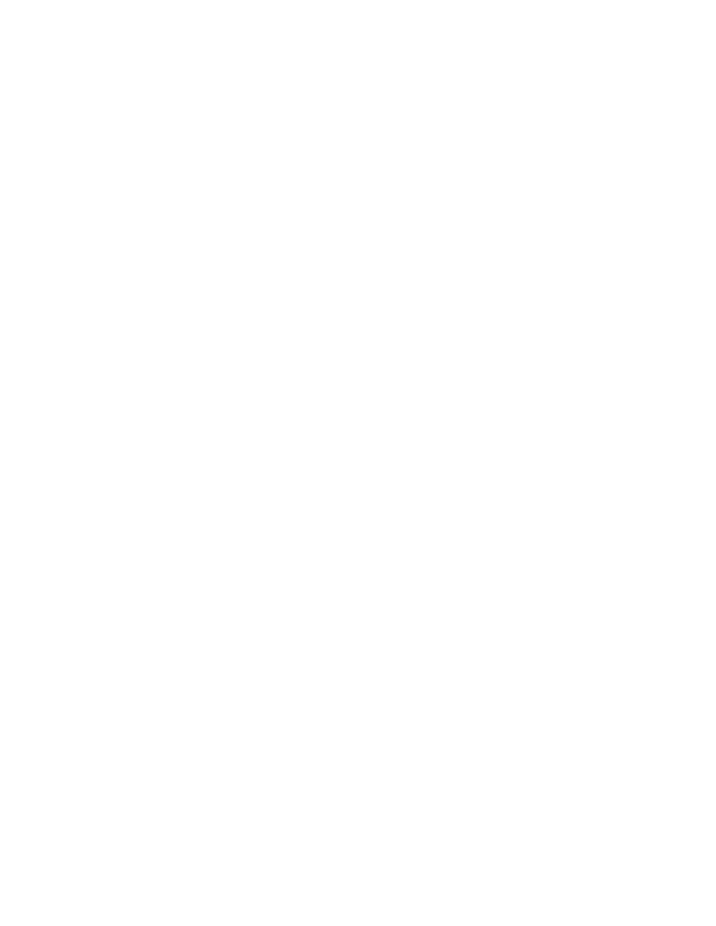

Complete Budget Request PDF: This year, OBM is requiring agencies to submit a complete budget request electronically as a PDF into the Budget Portal. This submission should not include the Executive Budget (Blue Book) questions.

While this Executive Summary provides a high-level overview, the remaining guidance provides specific and detailed information about the budget process, general guidelines, and budget components. Please always feel free to contact your OBM Budget Analyst with questions.

### OPERATING BUDGET GUIDANCE STRUCTURE

This document is divided into four sections. Section I provides an overview of the budget preparation process, cites pertinent Ohio Revised Code sections, and outlines the budget process timeline. Section II provides an overview of the systems involved in preparation of the budget request and payroll and service charge cost assumptions. Section III provides budget request limitation information, submission instructions, and detailed information for assembling the various documents that comprise an agency's budget request. Section IV provides an overview of the Strategic IT Budget process and specific instructions for completing the Strategic IT Budget Workbook.

Instructions regarding budget-related language sought by agencies in the budget bill are provided separately in the Budget Language Guidance.

### SECTION I. OVERVIEW OF THE BUDGET PROCESS

Every two years, or biennium, Ohio is required by law to prepare and adopt a budget to allocate state financial resources, a cycle known as the "budget process." To guide this process, the Office of Budget and Management (OBM) releases operating budget guidance for agencies using the requirements outlined in Ohio Revised Code Sections 107.03 (Governor) and 126.02 (OBM and agencies) as a base for the required contents of the agency budget request submission.

Following the OBM budget guidance, state agencies develop individual agency budget requests, which are composed of summaries showing funding data and narrative descriptions of the services provided with those dollars. Agencies then submit these requests to OBM, and OBM evaluates the requests, coordinates with the Governor's policy team, and makes recommendations to the Governor. The Governor's budget recommendations become a part of the Governor's Executive Budget (also known as the "Blue Book"), which is ultimately published on OBM's web site (http://obm.ohio.gov).

The Blue Book includes all budget recommendations in a single document; however, when presented to the General Assembly in bill form, four bills are generally introduced. OBM expects separate bills for the main operating budget, the transportation budget, the Bureau of Workers' Compensation budget, and the Industrial Commission budget.

Budget bills are typically introduced in the House of Representatives, considered and passed with changes, and then undergo the same process in the Senate. The version of the bill voted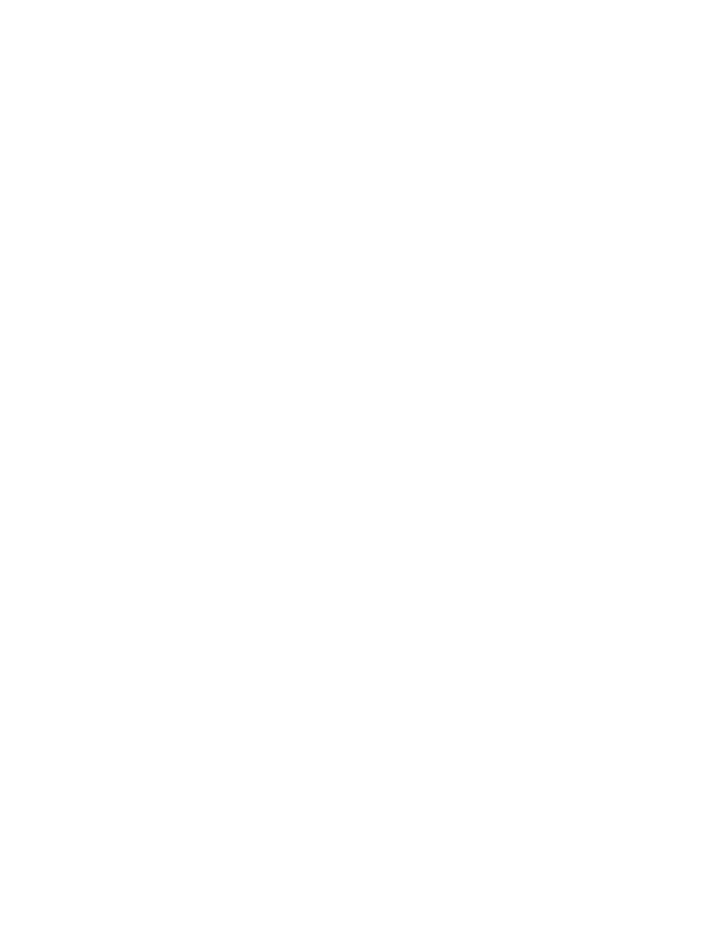definitions of the two budget request scenarios. These limits will apply at the fund level. Agencies are encouraged to propose shifting resources between programs and line items in support of Administration priorities and to streamline operations and improve efficiencies. The new budget request limitations are as follows:

- x Reduction Request (Operating A) ±Agencies will submit a scenario reflecting a funding level for GRF at 10% below current funding.
- x Continuing Priorities Request (Operating B)  $\pm$ Agencies will request the amount of appropriation needed to maintain services provided during the current fiscal year (i.e., accounting for inflationary costs to payroll and other expenses). Agencies are encouraged to rethink operations, organizational structure, and outcomes to become more efficient and effective.

Please see the Budget Request Limitations section for additional information.

Budget Request Questions ±Program, Fund, and ALI: OBM has made significant changes to the number and types of questions at the program, appropriation line item (ALI), and fund levels. This re-focuses questions at the ALI level, allowing agencies to better address the functions within each ALI and helping analysts to better understand each agency budget. Agencies will respond to budget submission questions at the program level and complete an ALI Activity worksheet for most ALIs.

In addition, the Fund Activity worksheet now includes a grant table to be completed when applicable.

For more information about changes to budget request questions, please see the Components of a Budget Request section and Appendices E, F,  $G$  to see the new questions for programs, ALIs, and funds.

Blue Book Questions:  $$JHQF\\($  ([HFXWLYH %XG  $\triangleq$  htrides must be subcinerard of 2 and 2 and 2 and 2 and 2 and 2 and 2 and 2 and 2 and 2 and 2 and 2 and 2 and 2 and 2 and 2 and 2 and 2 and 2 and 2 and 2 and 2 and 2 and 2 informative to the public. In addition, OBM has added a Notable Statistics section and has combined the Goals and Objectives sections. For more information about Blue Book question changes, please see the Blue Book Questions section.

Table of Organization: Along with other changes in the Blue Book, a high-level Table of Organization for each agency will be displayed in the agency section of the Blue Book. For clarity and consistency, OBM will require all agencies to use the same basic template. For more information about Table of Organization requirements, please see the Table of Organization section.

Strategic IT Budget: As in the fiscal years 2020-2021 budget process, agencies will complete a Strategic IT Budget Workbook and related documents. To clarify some of the definitions and instructions related to these workbooks, OBM has streamlined the Strategic IT section, including moving the instructions from an appendix into the main guidance. Please see the Strategic IT Budget section for more information.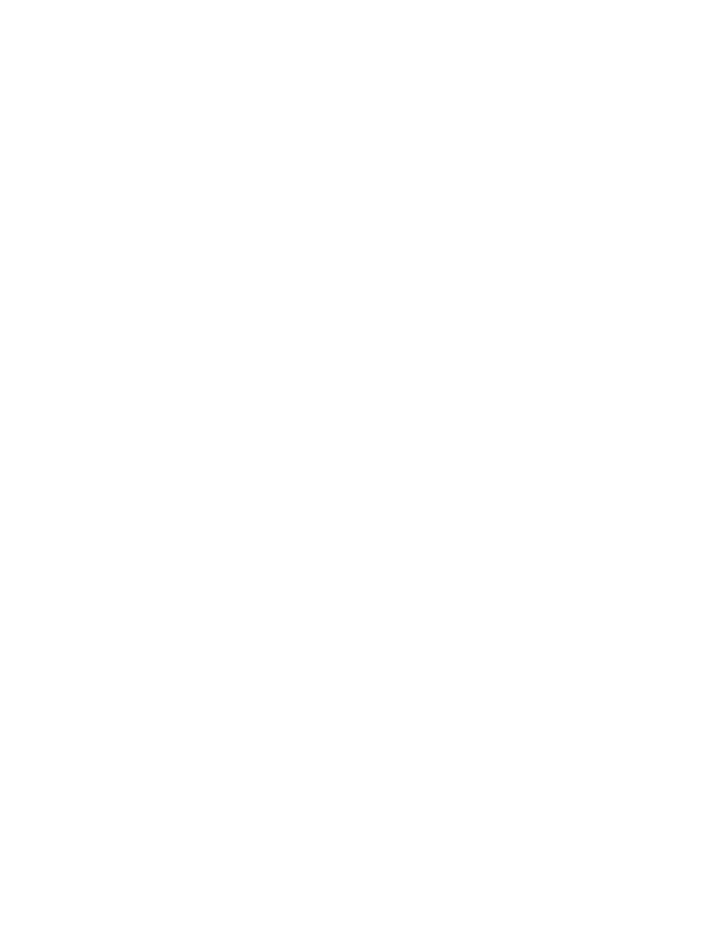# **TABLE OF APPENDICES**

| <b>Appendix A</b> | Glossary of Terms                                               |
|-------------------|-----------------------------------------------------------------|
| <b>Appendix B</b> | <b>OAKS Budget Account Chartfields</b>                          |
| <b>Appendix C</b> | <b>Payroll Checkoff Charges</b>                                 |
| <b>Appendix D</b> | Agency Due Dates and OBM Budget Analyst Assignments             |
| <b>Appendix E</b> | <b>Program Narrative - Required Questions</b>                   |
| <b>Appendix F</b> | ALI Budget Request ±Required Questions                          |
| <b>Appendix G</b> | <b>Fund Activity Questions</b>                                  |
| <b>Appendix H</b> | <b>BI Cognos Reports Summary Sheet</b>                          |
| <b>Appendix I</b> | <b>Agency Staffing Table</b>                                    |
| Appendix J        | <b>Agency Fee Changes</b>                                       |
| <b>Appendix K</b> | Agency Compliance with Customer Service Standards Questionnaire |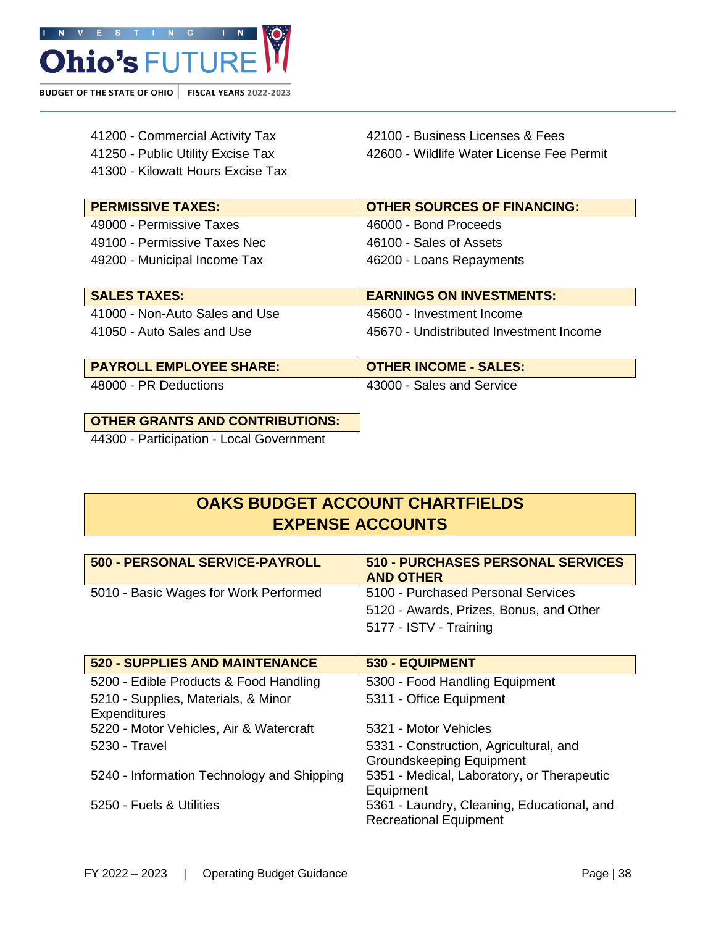

| 41200 - Commercial Activity Tax   | 42100 - Business Licenses & Fees          |
|-----------------------------------|-------------------------------------------|
| 41250 - Public Utility Excise Tax | 42600 - Wildlife Water License Fee Permit |
| 41300 - Kilowatt Hours Excise Tax |                                           |

| <b>PERMISSIVE TAXES:</b>     | <b>OTHER SOURCES OF FINANCING:</b> |
|------------------------------|------------------------------------|
| 49000 - Permissive Taxes     | 46000 - Bond Proceeds              |
| 49100 - Permissive Taxes Nec | 46100 - Sales of Assets            |
| 49200 - Municipal Income Tax | 46200 - Loans Repayments           |

| <b>SALES TAXES:</b>            | <b>EARNINGS ON INVESTMENTS:</b>         |
|--------------------------------|-----------------------------------------|
| 41000 - Non-Auto Sales and Use | 45600 - Investment Income               |
| 41050 - Auto Sales and Use     | 45670 - Undistributed Investment Income |

| <b>PAYROLL EMPLOYEE SHARE:</b> | <b>OTHER INCOME - SALES:</b> |
|--------------------------------|------------------------------|
| 48000 - PR Deductions          | 43000 - Sales and Service    |

## **OTHER GRANTS AND CONTRIBUTIONS:**

44300 - Participation - Local Government

# **OAKS BUDGET ACCOUNT CHARTFIELDS EXPENSE ACCOUNTS**

| 500 - PERSONAL SERVICE-PAYROLL        | 510 - PURCHASES PERSONAL SERVICES<br><b>AND OTHER</b> |
|---------------------------------------|-------------------------------------------------------|
| 5010 - Basic Wages for Work Performed | 5100 - Purchased Personal Services                    |
|                                       | 5120 - Awards, Prizes, Bonus, and Other               |
|                                       | 5177 - ISTV - Training                                |

| <b>520 - SUPPLIES AND MAINTENANCE</b>                      | 530 - EQUIPMENT                                                             |
|------------------------------------------------------------|-----------------------------------------------------------------------------|
| 5200 - Edible Products & Food Handling                     | 5300 - Food Handling Equipment                                              |
| 5210 - Supplies, Materials, & Minor<br><b>Expenditures</b> | 5311 - Office Equipment                                                     |
| 5220 - Motor Vehicles, Air & Watercraft                    | 5321 - Motor Vehicles                                                       |
| 5230 - Travel                                              | 5331 - Construction, Agricultural, and<br><b>Groundskeeping Equipment</b>   |
| 5240 - Information Technology and Shipping                 | 5351 - Medical, Laboratory, or Therapeutic<br>Equipment                     |
| 5250 - Fuels & Utilities                                   | 5361 - Laundry, Cleaning, Educational, and<br><b>Recreational Equipment</b> |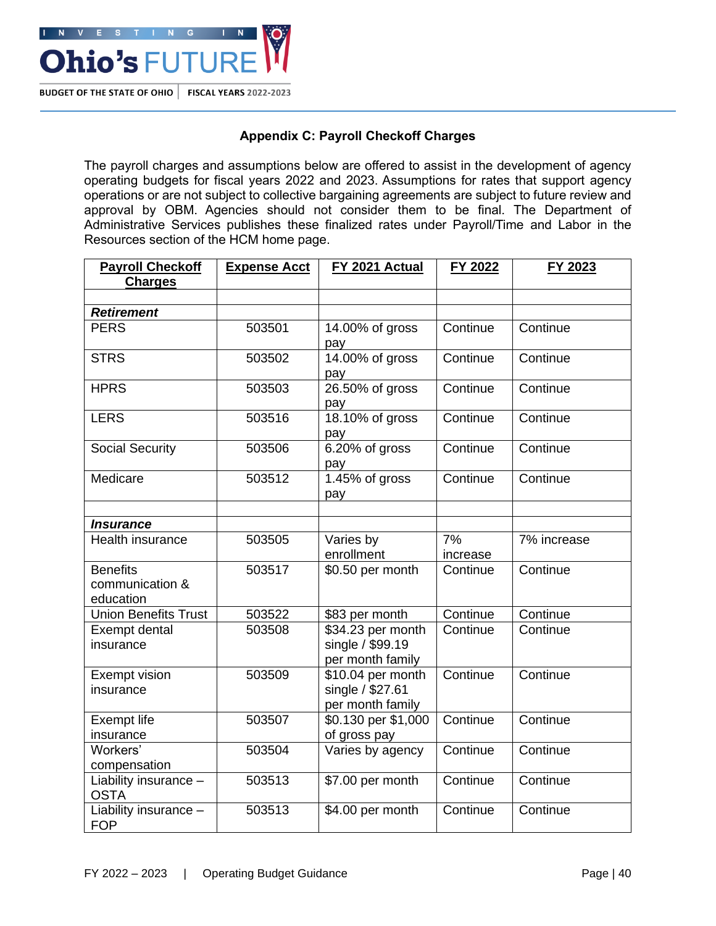## **Appendix C: Payroll Checkoff Charges**

<span id="page-40-0"></span>The payroll charges and assumptions below are offered to assist in the development of agency operating budgets for fiscal years 2022 and 2023. Assumptions for rates that support agency operations or are not subject to collective bargaining agreements are subject to future review and approval by OBM. Agencies should not consider them to be final. The Department of Administrative Services publishes these finalized rates under Payroll/Time and Labor in the Resources section of the HCM home page.

| <b>Payroll Checkoff</b><br><b>Charges</b>       | <b>Expense Acct</b> | FY 2021 Actual                                            | FY 2022        | FY 2023     |
|-------------------------------------------------|---------------------|-----------------------------------------------------------|----------------|-------------|
|                                                 |                     |                                                           |                |             |
| <b>Retirement</b>                               |                     |                                                           |                |             |
| <b>PERS</b>                                     | 503501              | 14.00% of gross<br>pay                                    | Continue       | Continue    |
| <b>STRS</b>                                     | 503502              | 14.00% of gross<br>pay                                    | Continue       | Continue    |
| <b>HPRS</b>                                     | 503503              | 26.50% of gross<br>pay                                    | Continue       | Continue    |
| <b>LERS</b>                                     | 503516              | 18.10% of gross<br>pay                                    | Continue       | Continue    |
| <b>Social Security</b>                          | 503506              | 6.20% of gross<br>pay                                     | Continue       | Continue    |
| Medicare                                        | 503512              | 1.45% of gross<br>pay                                     | Continue       | Continue    |
|                                                 |                     |                                                           |                |             |
| <b>Insurance</b>                                |                     |                                                           |                |             |
| <b>Health insurance</b>                         | 503505              | Varies by<br>enrollment                                   | 7%<br>increase | 7% increase |
| <b>Benefits</b><br>communication &<br>education | 503517              | \$0.50 per month                                          | Continue       | Continue    |
| <b>Union Benefits Trust</b>                     | 503522              | \$83 per month                                            | Continue       | Continue    |
| Exempt dental<br>insurance                      | 503508              | \$34.23 per month<br>single / \$99.19<br>per month family | Continue       | Continue    |
| Exempt vision<br>insurance                      | 503509              | \$10.04 per month<br>single / \$27.61<br>per month family | Continue       | Continue    |
| Exempt life<br>insurance                        | 503507              | \$0.130 per \$1,000<br>of gross pay                       | Continue       | Continue    |
| Workers'<br>compensation                        | 503504              | Varies by agency                                          | Continue       | Continue    |
| Liability insurance -<br><b>OSTA</b>            | 503513              | \$7.00 per month                                          | Continue       | Continue    |
| Liability insurance -<br><b>FOP</b>             | 503513              | \$4.00 per month                                          | Continue       | Continue    |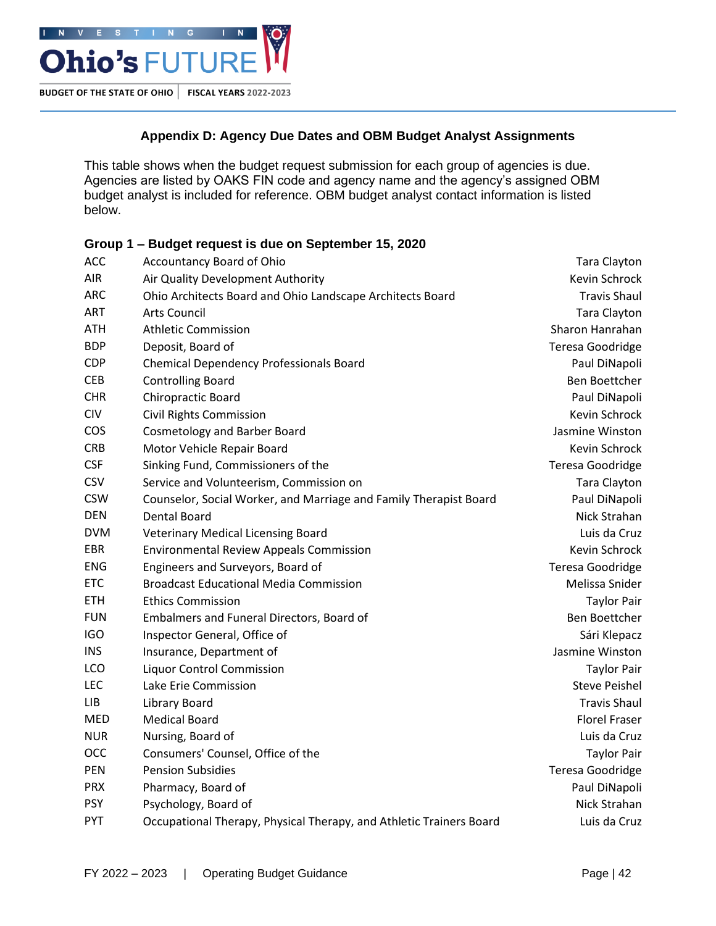## **Appendix D: Agency Due Dates and OBM Budget Analyst Assignments**

<span id="page-42-0"></span>This table shows when the budget request submission for each group of agencies is due. Agencies are listed by OAKS FIN code and agency name and the agency's assigned OBM budget analyst is included for reference. OBM budget analyst contact information is listed below.

### **Group 1 – Budget request is due on September 15, 2020**

| ACC        | <b>Accountancy Board of Ohio</b>                                    | Tara Clayton         |
|------------|---------------------------------------------------------------------|----------------------|
| <b>AIR</b> | Air Quality Development Authority                                   | Kevin Schrock        |
| <b>ARC</b> | Ohio Architects Board and Ohio Landscape Architects Board           | <b>Travis Shaul</b>  |
| <b>ART</b> | Arts Council                                                        | <b>Tara Clayton</b>  |
| <b>ATH</b> | <b>Athletic Commission</b>                                          | Sharon Hanrahan      |
| <b>BDP</b> | Deposit, Board of                                                   | Teresa Goodridge     |
| <b>CDP</b> | <b>Chemical Dependency Professionals Board</b>                      | Paul DiNapoli        |
| <b>CEB</b> | <b>Controlling Board</b>                                            | Ben Boettcher        |
| <b>CHR</b> | Chiropractic Board                                                  | Paul DiNapoli        |
| <b>CIV</b> | <b>Civil Rights Commission</b>                                      | Kevin Schrock        |
| COS        | <b>Cosmetology and Barber Board</b>                                 | Jasmine Winston      |
| <b>CRB</b> | Motor Vehicle Repair Board                                          | Kevin Schrock        |
| <b>CSF</b> | Sinking Fund, Commissioners of the                                  | Teresa Goodridge     |
| <b>CSV</b> | Service and Volunteerism, Commission on                             | Tara Clayton         |
| <b>CSW</b> | Counselor, Social Worker, and Marriage and Family Therapist Board   | Paul DiNapoli        |
| <b>DEN</b> | Dental Board                                                        | Nick Strahan         |
| <b>DVM</b> | <b>Veterinary Medical Licensing Board</b>                           | Luis da Cruz         |
| EBR        | <b>Environmental Review Appeals Commission</b>                      | Kevin Schrock        |
| <b>ENG</b> | Engineers and Surveyors, Board of                                   | Teresa Goodridge     |
| <b>ETC</b> | <b>Broadcast Educational Media Commission</b>                       | Melissa Snider       |
| <b>ETH</b> | <b>Ethics Commission</b>                                            | <b>Taylor Pair</b>   |
| <b>FUN</b> | Embalmers and Funeral Directors, Board of                           | Ben Boettcher        |
| <b>IGO</b> | Inspector General, Office of                                        | Sári Klepacz         |
| <b>INS</b> | Insurance, Department of                                            | Jasmine Winston      |
| LCO        | <b>Liquor Control Commission</b>                                    | <b>Taylor Pair</b>   |
| <b>LEC</b> | Lake Erie Commission                                                | <b>Steve Peishel</b> |
| LIB        | Library Board                                                       | <b>Travis Shaul</b>  |
| <b>MED</b> | <b>Medical Board</b>                                                | <b>Florel Fraser</b> |
| <b>NUR</b> | Nursing, Board of                                                   | Luis da Cruz         |
| <b>OCC</b> | Consumers' Counsel, Office of the                                   | <b>Taylor Pair</b>   |
| <b>PEN</b> | <b>Pension Subsidies</b>                                            | Teresa Goodridge     |
| <b>PRX</b> | Pharmacy, Board of                                                  | Paul DiNapoli        |
| <b>PSY</b> | Psychology, Board of                                                | Nick Strahan         |
| PYT        | Occupational Therapy, Physical Therapy, and Athletic Trainers Board | Luis da Cruz         |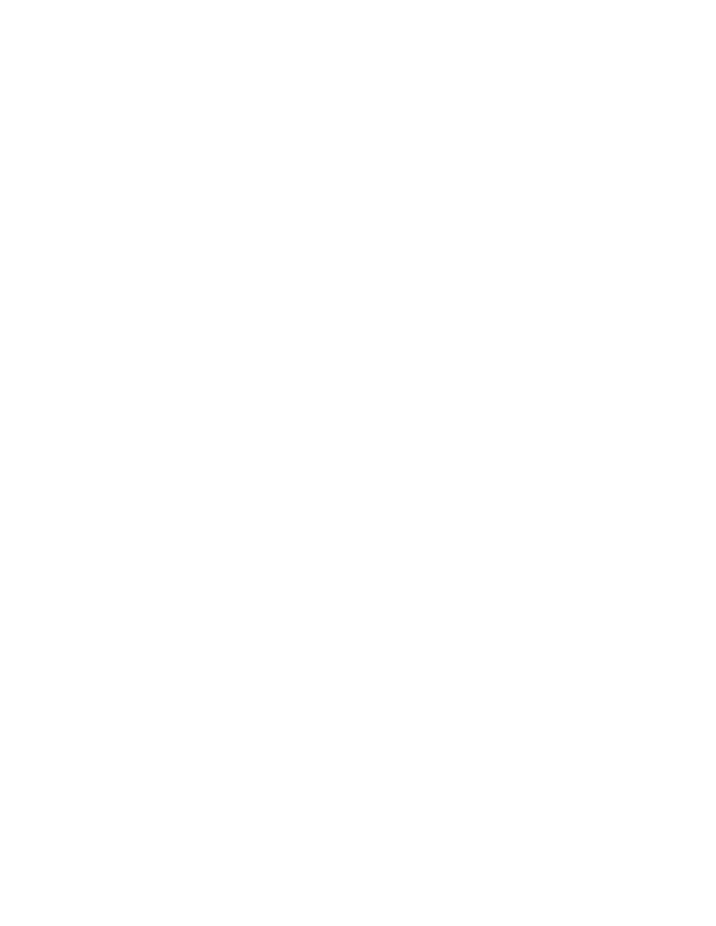| Fund Activity Summary ±Report (BPM-0003) and Required Questions18 |  |
|-------------------------------------------------------------------|--|
|                                                                   |  |
|                                                                   |  |
|                                                                   |  |
|                                                                   |  |
| Agency Compliance with Customer Service Standards Questionnaire21 |  |
| SECTION IV. STRATEGIC INFORMATION TECHNOLOGY BUDGET 21            |  |
|                                                                   |  |
|                                                                   |  |
|                                                                   |  |
|                                                                   |  |
|                                                                   |  |
|                                                                   |  |
|                                                                   |  |
|                                                                   |  |
|                                                                   |  |
|                                                                   |  |
|                                                                   |  |
|                                                                   |  |
|                                                                   |  |
|                                                                   |  |
|                                                                   |  |
|                                                                   |  |
|                                                                   |  |
|                                                                   |  |
|                                                                   |  |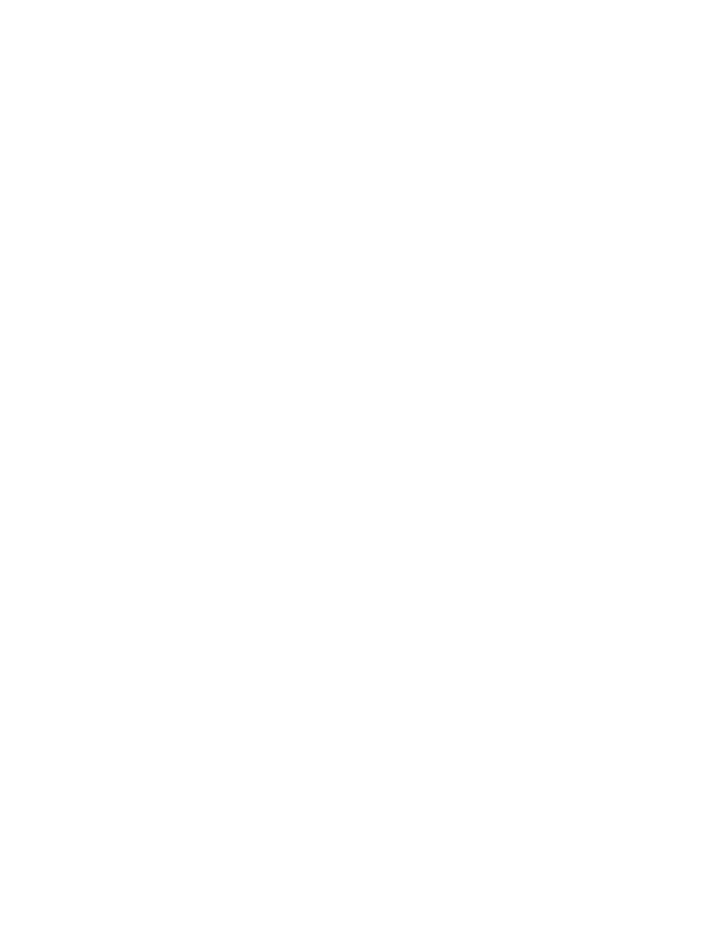# STATE OF OHIO OFFICE OF BUDGET & MANAGEMENT

# OPERATING BUDGET GUIDANCE FOR FISCAL YEARS 2022 ±2023

# TABLE OF CONTENTS

| SECTION II. GENERAL AGENCY GUIDELINES AND BUDGET SYSTEMS  9        |  |
|--------------------------------------------------------------------|--|
|                                                                    |  |
|                                                                    |  |
|                                                                    |  |
|                                                                    |  |
|                                                                    |  |
|                                                                    |  |
|                                                                    |  |
| SECTION III. BUDGET REQUEST LIMITATIONS AND COMPONENTS OF A BUDGET |  |
|                                                                    |  |
|                                                                    |  |
|                                                                    |  |
|                                                                    |  |
|                                                                    |  |
|                                                                    |  |
|                                                                    |  |
| &RPSRQHQWVRIDQ\$JHQF\.T.V%X.G.J.H.W5.H.T.X.H.V.W14                 |  |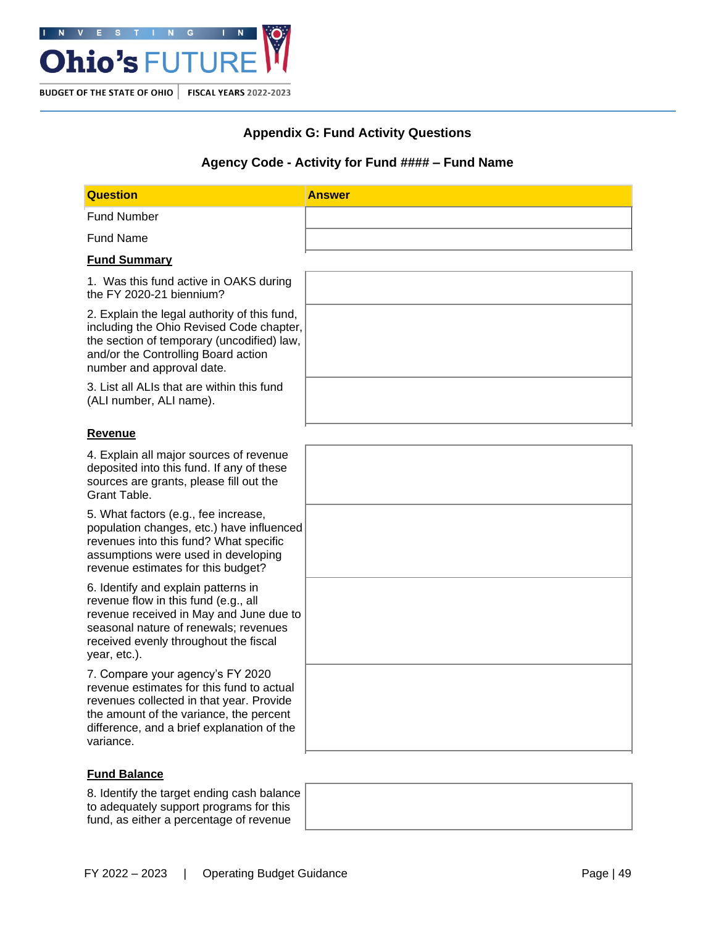## **Appendix G: Fund Activity Questions**

## **Agency Code - Activity for Fund #### – Fund Name**

<span id="page-49-0"></span>

| Question                                                                                                                                                                                                                        | Answer |
|---------------------------------------------------------------------------------------------------------------------------------------------------------------------------------------------------------------------------------|--------|
| <b>Fund Number</b>                                                                                                                                                                                                              |        |
| <b>Fund Name</b>                                                                                                                                                                                                                |        |
| <b>Fund Summary</b>                                                                                                                                                                                                             |        |
| 1. Was this fund active in OAKS during<br>the FY 2020-21 biennium?                                                                                                                                                              |        |
| 2. Explain the legal authority of this fund,<br>including the Ohio Revised Code chapter,<br>the section of temporary (uncodified) law,<br>and/or the Controlling Board action<br>number and approval date.                      |        |
| 3. List all ALIs that are within this fund<br>(ALI number, ALI name).                                                                                                                                                           |        |
| Revenue                                                                                                                                                                                                                         |        |
| 4. Explain all major sources of revenue<br>deposited into this fund. If any of these<br>sources are grants, please fill out the<br>Grant Table.                                                                                 |        |
| 5. What factors (e.g., fee increase,<br>population changes, etc.) have influenced<br>revenues into this fund? What specific<br>assumptions were used in developing<br>revenue estimates for this budget?                        |        |
| 6. Identify and explain patterns in<br>revenue flow in this fund (e.g., all<br>revenue received in May and June due to<br>seasonal nature of renewals; revenues<br>received evenly throughout the fiscal<br>year, etc.).        |        |
| 7. Compare your agency's FY 2020<br>revenue estimates for this fund to actual<br>revenues collected in that year. Provide<br>the amount of the variance, the percent<br>difference, and a brief explanation of the<br>variance. |        |
| <b>Fund Balance</b>                                                                                                                                                                                                             |        |

8. Identify the target ending cash balance to adequately support programs for this fund, as either a percentage of revenue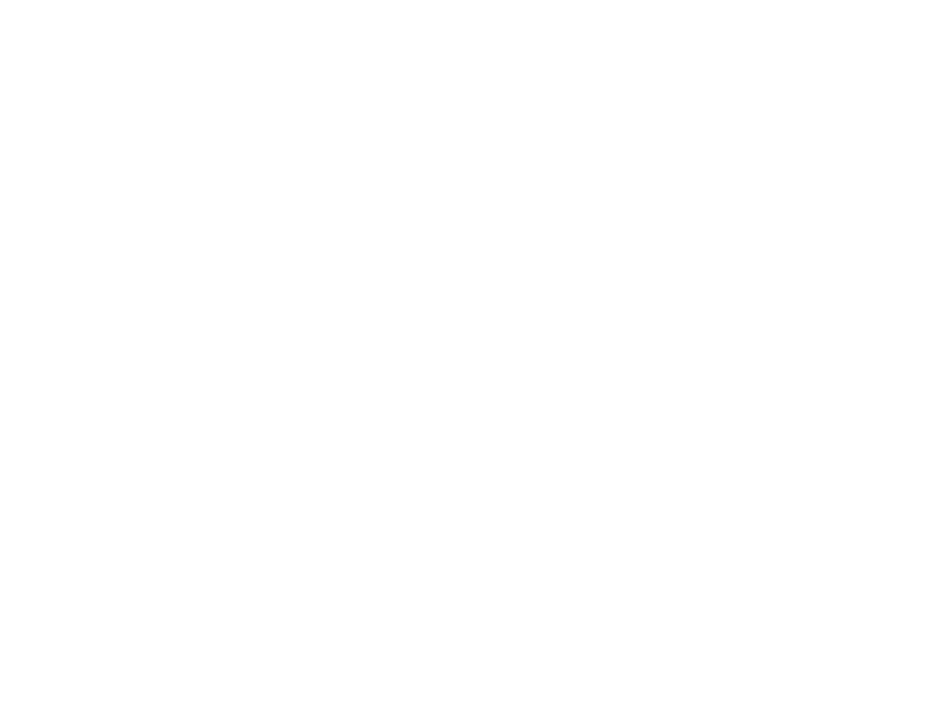- W N H DJHQF\ || V DJJUNDFN WN LWV FLVVLNQ
- o A high-level Table of Organization for each agency, and
- o Professional Licensing Boards and Commissions will appear as a single, organized section of the Blue Book, instead of disbursed throughout the document in alphabetical order. This will provide succinct, overarching information in an easy-tofind way, with specific information about each board and commission.

Thank you again and please do not hesitate to contact any one of us here at OBM should you QHHG DQ\ VXSSRUW LQ \RXU ZRUN 7dKesses%aXdQpblotheVhu\$nQeDsQrleVWV¶ HPD included on page 45.

Very respectfully yours,

**Director Kimberly Murnieks** Office of Budget and Management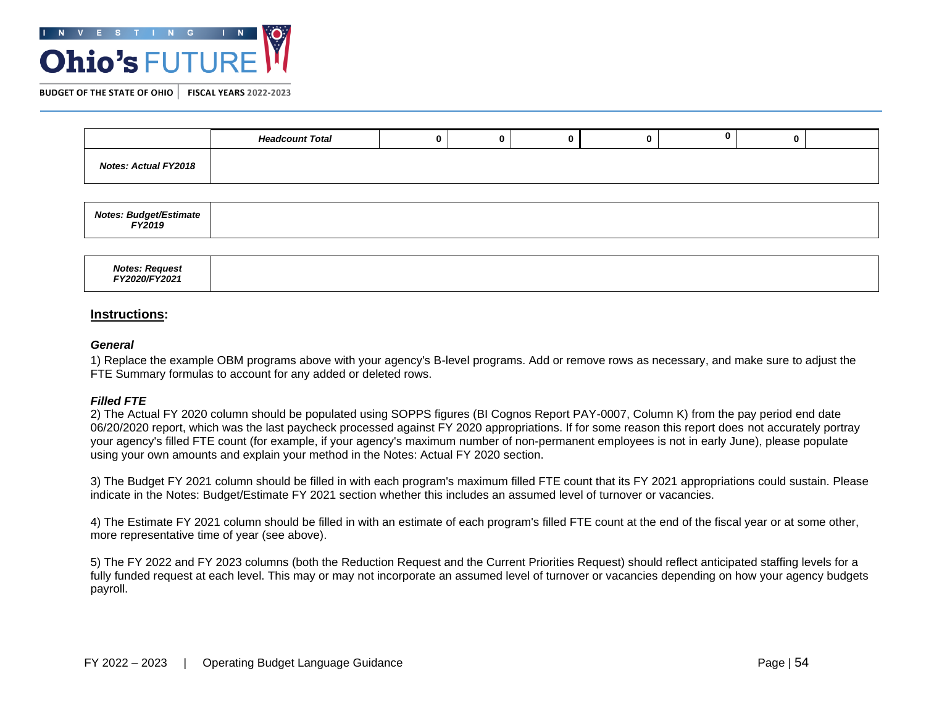

BUDGET OF THE STATE OF OHIO | FISCAL YEARS 2022-2023

| <b>Notes: Actual FY2018</b> | <b>Headcount Total</b> |  |  | v |  |
|-----------------------------|------------------------|--|--|---|--|
|                             |                        |  |  |   |  |

| Notes: Budget/Estimate<br>FY2019 |
|----------------------------------|
|----------------------------------|

|--|

#### **Instructions:**

#### *General*

1) Replace the example OBM programs above with your agency's B-level programs. Add or remove rows as necessary, and make sure to adjust the FTE Summary formulas to account for any added or deleted rows.

#### *Filled FTE*

2) The Actual FY 2020 column should be populated using SOPPS figures (BI Cognos Report PAY-0007, Column K) from the pay period end date 06/20/2020 report, which was the last paycheck processed against FY 2020 appropriations. If for some reason this report does not accurately portray your agency's filled FTE count (for example, if your agency's maximum number of non-permanent employees is not in early June), please populate using your own amounts and explain your method in the Notes: Actual FY 2020 section.

3) The Budget FY 2021 column should be filled in with each program's maximum filled FTE count that its FY 2021 appropriations could sustain. Please indicate in the Notes: Budget/Estimate FY 2021 section whether this includes an assumed level of turnover or vacancies.

4) The Estimate FY 2021 column should be filled in with an estimate of each program's filled FTE count at the end of the fiscal year or at some other, more representative time of year (see above).

5) The FY 2022 and FY 2023 columns (both the Reduction Request and the Current Priorities Request) should reflect anticipated staffing levels for a fully funded request at each level. This may or may not incorporate an assumed level of turnover or vacancies depending on how your agency budgets payroll.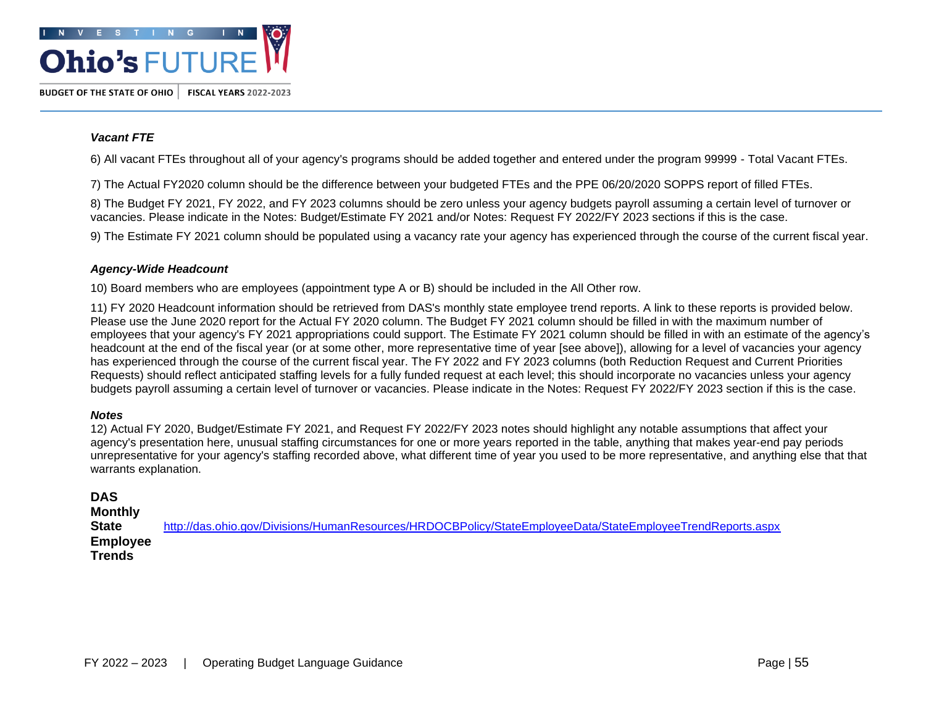

BUDGET OF THE STATE OF OHIO | FISCAL YEARS 2022-2023

#### *Vacant FTE*

6) All vacant FTEs throughout all of your agency's programs should be added together and entered under the program 99999 - Total Vacant FTEs.

7) The Actual FY2020 column should be the difference between your budgeted FTEs and the PPE 06/20/2020 SOPPS report of filled FTEs.

8) The Budget FY 2021, FY 2022, and FY 2023 columns should be zero unless your agency budgets payroll assuming a certain level of turnover or vacancies. Please indicate in the Notes: Budget/Estimate FY 2021 and/or Notes: Request FY 2022/FY 2023 sections if this is the case.

9) The Estimate FY 2021 column should be populated using a vacancy rate your agency has experienced through the course of the current fiscal year.

#### *Agency-Wide Headcount*

10) Board members who are employees (appointment type A or B) should be included in the All Other row.

11) FY 2020 Headcount information should be retrieved from DAS's monthly state employee trend reports. A link to these reports is provided below. Please use the June 2020 report for the Actual FY 2020 column. The Budget FY 2021 column should be filled in with the maximum number of employees that your agency's FY 2021 appropriations could support. The Estimate FY 2021 column should be filled in with an estimate of the agency's headcount at the end of the fiscal year (or at some other, more representative time of year [see above]), allowing for a level of vacancies your agency has experienced through the course of the current fiscal year. The FY 2022 and FY 2023 columns (both Reduction Request and Current Priorities Requests) should reflect anticipated staffing levels for a fully funded request at each level; this should incorporate no vacancies unless your agency budgets payroll assuming a certain level of turnover or vacancies. Please indicate in the Notes: Request FY 2022/FY 2023 section if this is the case.

#### *Notes*

12) Actual FY 2020, Budget/Estimate FY 2021, and Request FY 2022/FY 2023 notes should highlight any notable assumptions that affect your agency's presentation here, unusual staffing circumstances for one or more years reported in the table, anything that makes year-end pay periods unrepresentative for your agency's staffing recorded above, what different time of year you used to be more representative, and anything else that that warrants explanation.

#### **DAS**

**Monthly State Employee Trends** <http://das.ohio.gov/Divisions/HumanResources/HRDOCBPolicy/StateEmployeeData/StateEmployeeTrendReports.aspx>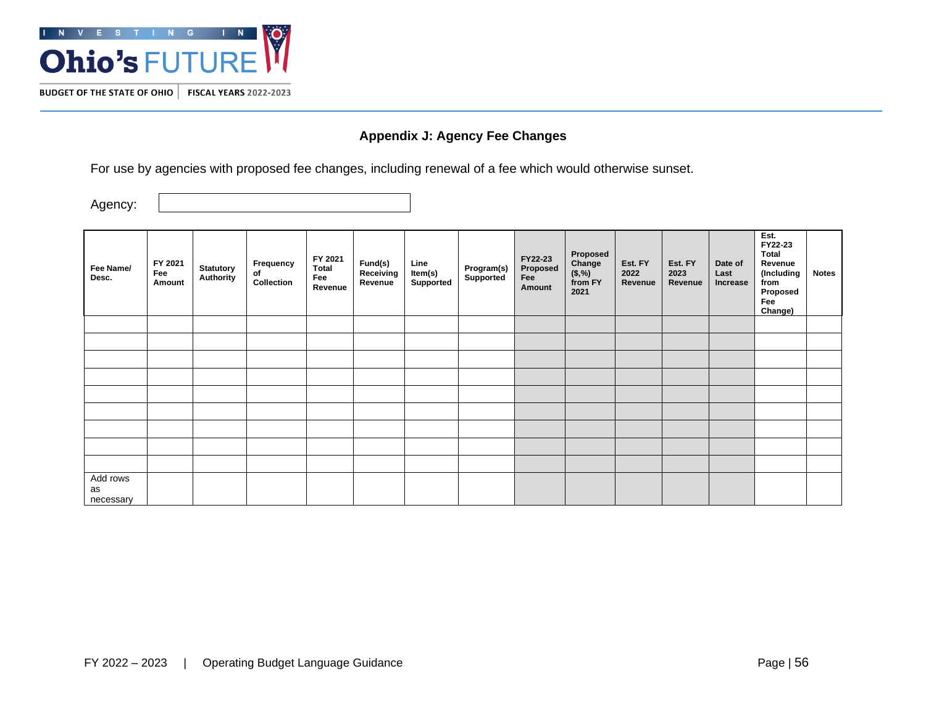

## **Appendix J: Agency Fee Changes**

For use by agencies with proposed fee changes, including renewal of a fee which would otherwise sunset.

Agency:

<span id="page-56-0"></span>

| Fee Name/<br>Desc.          | FY 2021<br>Fee<br>Amount | <b>Statutory</b><br>Authority | Frequency<br>of<br><b>Collection</b> | FY 2021<br><b>Total</b><br>Fee<br>Revenue | Fund(s)<br>Receiving<br>Revenue | Line<br>Item(s)<br>Supported | Program(s)<br>Supported | FY22-23<br>Proposed<br>Fee<br>Amount | Proposed<br>Change<br>$($, \%)$<br>from FY<br>2021 | Est. FY<br>2022<br>Revenue | Est. FY<br>2023<br>Revenue | Date of<br>Last<br>Increase | Est.<br>FY22-23<br><b>Total</b><br>Revenue<br>(Including<br>from<br>Proposed<br>Fee<br>Change) | <b>Notes</b> |
|-----------------------------|--------------------------|-------------------------------|--------------------------------------|-------------------------------------------|---------------------------------|------------------------------|-------------------------|--------------------------------------|----------------------------------------------------|----------------------------|----------------------------|-----------------------------|------------------------------------------------------------------------------------------------|--------------|
|                             |                          |                               |                                      |                                           |                                 |                              |                         |                                      |                                                    |                            |                            |                             |                                                                                                |              |
|                             |                          |                               |                                      |                                           |                                 |                              |                         |                                      |                                                    |                            |                            |                             |                                                                                                |              |
|                             |                          |                               |                                      |                                           |                                 |                              |                         |                                      |                                                    |                            |                            |                             |                                                                                                |              |
|                             |                          |                               |                                      |                                           |                                 |                              |                         |                                      |                                                    |                            |                            |                             |                                                                                                |              |
|                             |                          |                               |                                      |                                           |                                 |                              |                         |                                      |                                                    |                            |                            |                             |                                                                                                |              |
|                             |                          |                               |                                      |                                           |                                 |                              |                         |                                      |                                                    |                            |                            |                             |                                                                                                |              |
|                             |                          |                               |                                      |                                           |                                 |                              |                         |                                      |                                                    |                            |                            |                             |                                                                                                |              |
|                             |                          |                               |                                      |                                           |                                 |                              |                         |                                      |                                                    |                            |                            |                             |                                                                                                |              |
|                             |                          |                               |                                      |                                           |                                 |                              |                         |                                      |                                                    |                            |                            |                             |                                                                                                |              |
| Add rows<br>as<br>necessary |                          |                               |                                      |                                           |                                 |                              |                         |                                      |                                                    |                            |                            |                             |                                                                                                |              |